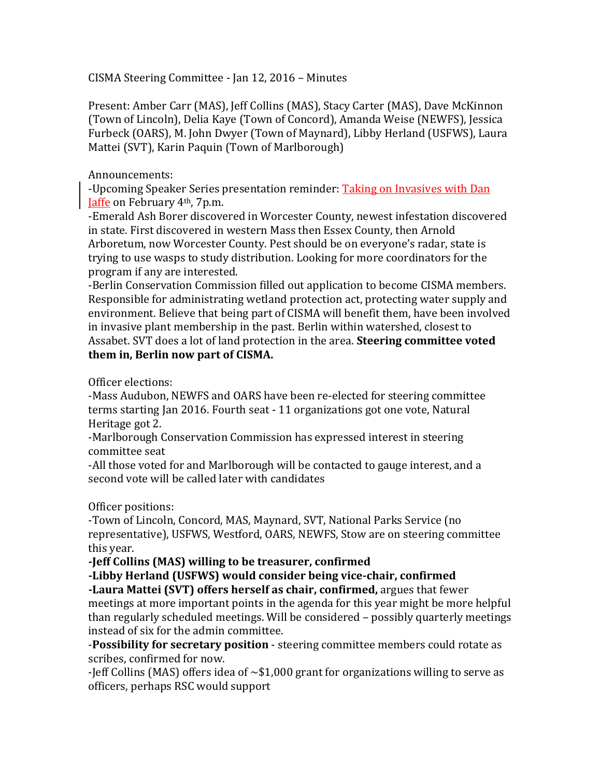CISMA Steering Committee - Jan 12, 2016 – Minutes

Present: Amber Carr (MAS), Jeff Collins (MAS), Stacy Carter (MAS), Dave McKinnon (Town of Lincoln), Delia Kaye (Town of Concord), Amanda Weise (NEWFS), Jessica Furbeck (OARS), M. John Dwyer (Town of Maynard), Libby Herland (USFWS), Laura Mattei (SVT), Karin Paquin (Town of Marlborough)

Announcements:

-Upcoming Speaker Series presentation reminder: Taking on Invasives with Dan [Jaffe](http://cisma-suasco.org/sites/default/files/uploads/2016%20Jaffe%20flier.pdf) on February 4th, 7p.m.

-Emerald Ash Borer discovered in Worcester County, newest infestation discovered in state. First discovered in western Mass then Essex County, then Arnold Arboretum, now Worcester County. Pest should be on everyone's radar, state is trying to use wasps to study distribution. Looking for more coordinators for the program if any are interested.

-Berlin Conservation Commission filled out application to become CISMA members. Responsible for administrating wetland protection act, protecting water supply and environment. Believe that being part of CISMA will benefit them, have been involved in invasive plant membership in the past. Berlin within watershed, closest to Assabet. SVT does a lot of land protection in the area. **Steering committee voted them in, Berlin now part of CISMA.**

Officer elections:

-Mass Audubon, NEWFS and OARS have been re-elected for steering committee terms starting Jan 2016. Fourth seat - 11 organizations got one vote, Natural Heritage got 2.

-Marlborough Conservation Commission has expressed interest in steering committee seat

-All those voted for and Marlborough will be contacted to gauge interest, and a second vote will be called later with candidates

Officer positions:

-Town of Lincoln, Concord, MAS, Maynard, SVT, National Parks Service (no representative), USFWS, Westford, OARS, NEWFS, Stow are on steering committee this year.

**-Jeff Collins (MAS) willing to be treasurer, confirmed**

**-Libby Herland (USFWS) would consider being vice-chair, confirmed -Laura Mattei (SVT) offers herself as chair, confirmed,** argues that fewer

meetings at more important points in the agenda for this year might be more helpful than regularly scheduled meetings. Will be considered – possibly quarterly meetings instead of six for the admin committee.

-**Possibility for secretary position** - steering committee members could rotate as scribes, confirmed for now.

-Jeff Collins (MAS) offers idea of  $\sim$ \$1,000 grant for organizations willing to serve as officers, perhaps RSC would support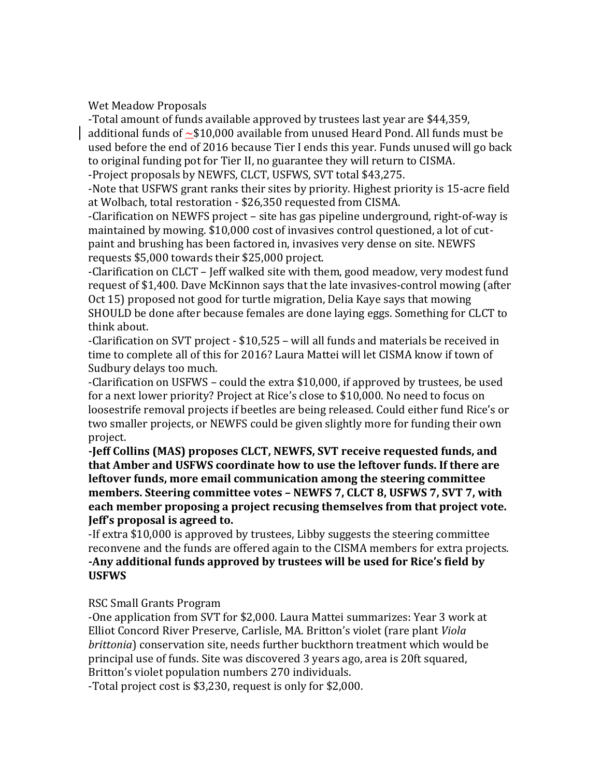Wet Meadow Proposals

-Total amount of funds available approved by trustees last year are \$44,359, additional funds of  $\leq$ \$10,000 available from unused Heard Pond. All funds must be used before the end of 2016 because Tier I ends this year. Funds unused will go back to original funding pot for Tier II, no guarantee they will return to CISMA. -Project proposals by NEWFS, CLCT, USFWS, SVT total \$43,275.

-Note that USFWS grant ranks their sites by priority. Highest priority is 15-acre field at Wolbach, total restoration - \$26,350 requested from CISMA.

-Clarification on NEWFS project – site has gas pipeline underground, right-of-way is maintained by mowing. \$10,000 cost of invasives control questioned, a lot of cutpaint and brushing has been factored in, invasives very dense on site. NEWFS requests \$5,000 towards their \$25,000 project.

-Clarification on CLCT – Jeff walked site with them, good meadow, very modest fund request of \$1,400. Dave McKinnon says that the late invasives-control mowing (after Oct 15) proposed not good for turtle migration, Delia Kaye says that mowing SHOULD be done after because females are done laying eggs. Something for CLCT to think about.

-Clarification on SVT project - \$10,525 – will all funds and materials be received in time to complete all of this for 2016? Laura Mattei will let CISMA know if town of Sudbury delays too much.

-Clarification on USFWS – could the extra \$10,000, if approved by trustees, be used for a next lower priority? Project at Rice's close to \$10,000. No need to focus on loosestrife removal projects if beetles are being released. Could either fund Rice's or two smaller projects, or NEWFS could be given slightly more for funding their own project.

**-Jeff Collins (MAS) proposes CLCT, NEWFS, SVT receive requested funds, and that Amber and USFWS coordinate how to use the leftover funds. If there are leftover funds, more email communication among the steering committee members. Steering committee votes – NEWFS 7, CLCT 8, USFWS 7, SVT 7, with each member proposing a project recusing themselves from that project vote. Jeff's proposal is agreed to.**

-If extra \$10,000 is approved by trustees, Libby suggests the steering committee reconvene and the funds are offered again to the CISMA members for extra projects. **-Any additional funds approved by trustees will be used for Rice's field by USFWS**

RSC Small Grants Program

-One application from SVT for \$2,000. Laura Mattei summarizes: Year 3 work at Elliot Concord River Preserve, Carlisle, MA. Britton's violet (rare plant *Viola brittonia*) conservation site, needs further buckthorn treatment which would be principal use of funds. Site was discovered 3 years ago, area is 20ft squared, Britton's violet population numbers 270 individuals.

-Total project cost is \$3,230, request is only for \$2,000.